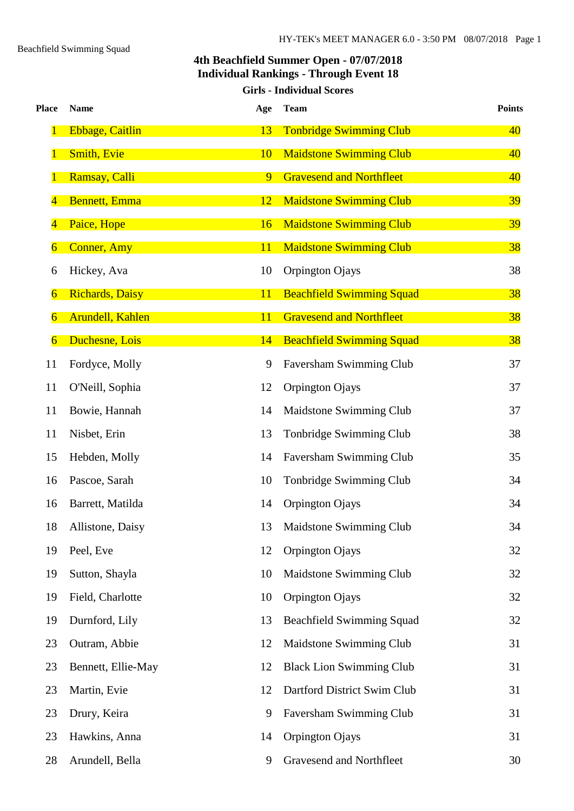#### **4th Beachfield Summer Open - 07/07/2018 Individual Rankings - Through Event 18 Girls - Individual Scores**

| <b>Place</b>   | <b>Name</b>             | Age | <b>Team</b>                      | <b>Points</b> |
|----------------|-------------------------|-----|----------------------------------|---------------|
| 1              | <b>Ebbage, Caitlin</b>  | 13  | <b>Tonbridge Swimming Club</b>   | 40            |
|                | <b>Smith, Evie</b>      | 10  | <b>Maidstone Swimming Club</b>   | 40            |
|                | <b>Ramsay, Calli</b>    | 9   | <b>Gravesend and Northfleet</b>  | 40            |
| 4              | <b>Bennett</b> , Emma   | 12  | <b>Maidstone Swimming Club</b>   | <b>39</b>     |
| 4              | Paice, Hope             | 16  | <b>Maidstone Swimming Club</b>   | 39            |
| 6              | <b>Conner, Amy</b>      | 11  | <b>Maidstone Swimming Club</b>   | 38            |
| 6              | Hickey, Ava             | 10  | Orpington Ojays                  | 38            |
| $\overline{6}$ | <b>Richards</b> , Daisy | 11  | <b>Beachfield Swimming Squad</b> | 38            |
| 6              | Arundell, Kahlen        | 11  | <b>Gravesend and Northfleet</b>  | 38            |
| $\overline{6}$ | Duchesne, Lois          | 14  | <b>Beachfield Swimming Squad</b> | 38            |
| 11             | Fordyce, Molly          | 9   | Faversham Swimming Club          | 37            |
| 11             | O'Neill, Sophia         | 12  | Orpington Ojays                  | 37            |
| 11             | Bowie, Hannah           | 14  | Maidstone Swimming Club          | 37            |
| 11             | Nisbet, Erin            | 13  | Tonbridge Swimming Club          | 38            |
| 15             | Hebden, Molly           | 14  | Faversham Swimming Club          | 35            |
| 16             | Pascoe, Sarah           | 10  | Tonbridge Swimming Club          | 34            |
| 16             | Barrett, Matilda        | 14  | Orpington Ojays                  | 34            |
| 18             | Allistone, Daisy        | 13  | <b>Maidstone Swimming Club</b>   | 34            |
| 19             | Peel, Eve               | 12  | Orpington Ojays                  | 32            |
| 19             | Sutton, Shayla          | 10  | Maidstone Swimming Club          | 32            |
| 19             | Field, Charlotte        | 10  | Orpington Ojays                  | 32            |
| 19             | Durnford, Lily          | 13  | <b>Beachfield Swimming Squad</b> | 32            |
| 23             | Outram, Abbie           | 12  | Maidstone Swimming Club          | 31            |
| 23             | Bennett, Ellie-May      | 12  | <b>Black Lion Swimming Club</b>  | 31            |
| 23             | Martin, Evie            | 12  | Dartford District Swim Club      | 31            |
| 23             | Drury, Keira            | 9   | Faversham Swimming Club          | 31            |
| 23             | Hawkins, Anna           | 14  | Orpington Ojays                  | 31            |
| 28             | Arundell, Bella         | 9   | Gravesend and Northfleet         | 30            |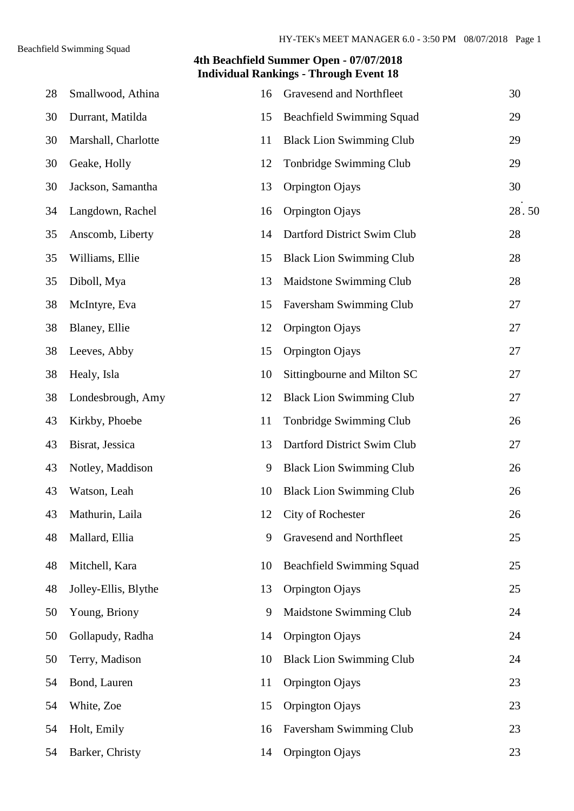| 28 | Smallwood, Athina    | 16 | Gravesend and Northfleet         | 30    |
|----|----------------------|----|----------------------------------|-------|
| 30 | Durrant, Matilda     | 15 | <b>Beachfield Swimming Squad</b> | 29    |
| 30 | Marshall, Charlotte  | 11 | <b>Black Lion Swimming Club</b>  | 29    |
| 30 | Geake, Holly         | 12 | Tonbridge Swimming Club          | 29    |
| 30 | Jackson, Samantha    | 13 | Orpington Ojays                  | 30    |
| 34 | Langdown, Rachel     | 16 | Orpington Ojays                  | 28.50 |
| 35 | Anscomb, Liberty     | 14 | Dartford District Swim Club      | 28    |
| 35 | Williams, Ellie      | 15 | <b>Black Lion Swimming Club</b>  | 28    |
| 35 | Diboll, Mya          | 13 | Maidstone Swimming Club          | 28    |
| 38 | McIntyre, Eva        | 15 | Faversham Swimming Club          | 27    |
| 38 | Blaney, Ellie        | 12 | Orpington Ojays                  | 27    |
| 38 | Leeves, Abby         | 15 | Orpington Ojays                  | 27    |
| 38 | Healy, Isla          | 10 | Sittingbourne and Milton SC      | 27    |
| 38 | Londesbrough, Amy    | 12 | <b>Black Lion Swimming Club</b>  | 27    |
| 43 | Kirkby, Phoebe       | 11 | Tonbridge Swimming Club          | 26    |
| 43 | Bisrat, Jessica      | 13 | Dartford District Swim Club      | 27    |
| 43 | Notley, Maddison     | 9  | <b>Black Lion Swimming Club</b>  | 26    |
| 43 | Watson, Leah         | 10 | <b>Black Lion Swimming Club</b>  | 26    |
| 43 | Mathurin, Laila      | 12 | City of Rochester                | 26    |
| 48 | Mallard, Ellia       | 9  | Gravesend and Northfleet         | 25    |
| 48 | Mitchell, Kara       | 10 | <b>Beachfield Swimming Squad</b> | 25    |
| 48 | Jolley-Ellis, Blythe | 13 | Orpington Ojays                  | 25    |
| 50 | Young, Briony        | 9  | Maidstone Swimming Club          | 24    |
| 50 | Gollapudy, Radha     | 14 | Orpington Ojays                  | 24    |
| 50 | Terry, Madison       | 10 | <b>Black Lion Swimming Club</b>  | 24    |
| 54 | Bond, Lauren         | 11 | Orpington Ojays                  | 23    |
| 54 | White, Zoe           | 15 | Orpington Ojays                  | 23    |
| 54 | Holt, Emily          | 16 | Faversham Swimming Club          | 23    |
| 54 | Barker, Christy      | 14 | Orpington Ojays                  | 23    |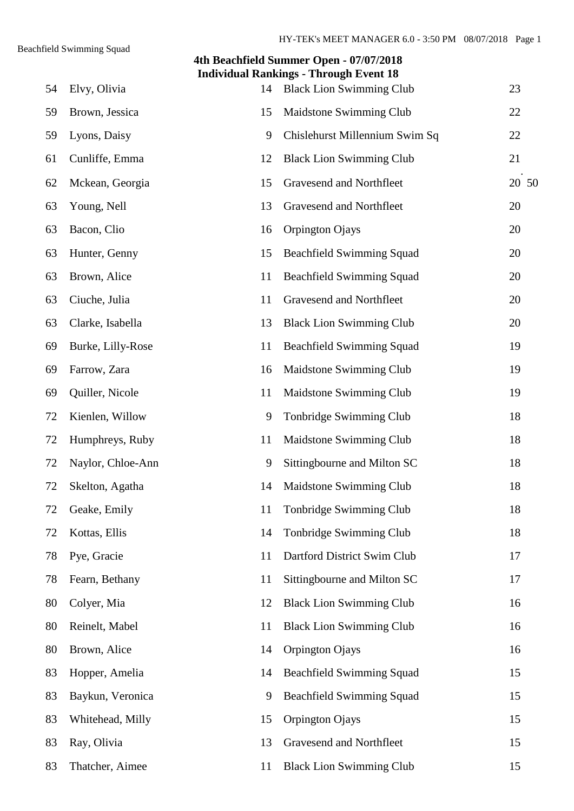# **4th Beachfield Summer Open - 07/07/2018 Individual Rankings - Through Event 18** 54 Elvy, Olivia 14 Black Lion Swimming Club 23 59 Brown, Jessica 15 Maidstone Swimming Club 22 59 Lyons, Daisy 9 Chislehurst Millennium Swim Sq 22 61 Cunliffe, Emma 12 Black Lion Swimming Club 21 20 50 62 Mckean, Georgia 15 Gravesend and Northfleet 63 Young, Nell 13 Gravesend and Northfleet 20 63 Bacon, Clio 16 Orpington Ojays 20 63 Hunter, Genny 15 Beachfield Swimming Squad 20 63 Brown, Alice 11 Beachfield Swimming Squad 20 63 Ciuche, Julia 11 Gravesend and Northfleet 20 63 Clarke, Isabella 13 Black Lion Swimming Club 20 69 Burke, Lilly-Rose 11 Beachfield Swimming Squad 19 69 Farrow, Zara 16 Maidstone Swimming Club 19 69 Quiller, Nicole 11 Maidstone Swimming Club 19 72 Kienlen, Willow 9 Tonbridge Swimming Club 18 72 Humphreys, Ruby 11 Maidstone Swimming Club 18 72 Naylor, Chloe-Ann 9 Sittingbourne and Milton SC 18 72 Skelton, Agatha 14 Maidstone Swimming Club 18 72 Geake, Emily 11 Tonbridge Swimming Club 18 72 Kottas, Ellis 14 Tonbridge Swimming Club 18 78 Pye, Gracie 11 Dartford District Swim Club 17 78 Fearn, Bethany 11 Sittingbourne and Milton SC 17 80 Colyer, Mia 12 Black Lion Swimming Club 16 80 Reinelt, Mabel 11 Black Lion Swimming Club 16 80 Brown, Alice 14 Orpington Ojays 16 83 Hopper, Amelia 14 Beachfield Swimming Squad 15 83 Baykun, Veronica 9 Beachfield Swimming Squad 15 83 Whitehead, Milly 15 Orpington Ojays 15 83 Ray, Olivia 13 Gravesend and Northfleet 15 83 Thatcher, Aimee 11 Black Lion Swimming Club 15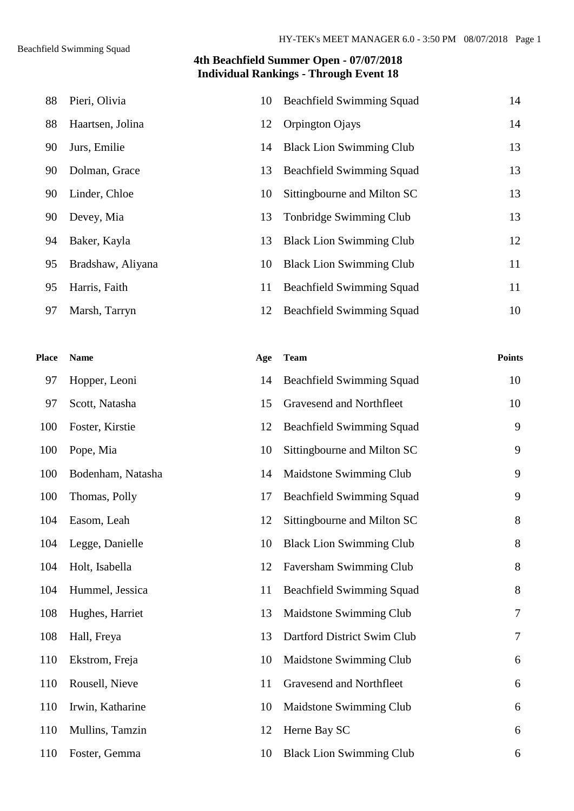| 88 | Pieri, Olivia     | 10 | <b>Beachfield Swimming Squad</b> | 14 |
|----|-------------------|----|----------------------------------|----|
| 88 | Haartsen, Jolina  | 12 | Orpington Ojays                  | 14 |
| 90 | Jurs, Emilie      | 14 | <b>Black Lion Swimming Club</b>  | 13 |
| 90 | Dolman, Grace     | 13 | <b>Beachfield Swimming Squad</b> | 13 |
| 90 | Linder, Chloe     | 10 | Sittingbourne and Milton SC      | 13 |
| 90 | Devey, Mia        | 13 | Tonbridge Swimming Club          | 13 |
| 94 | Baker, Kayla      | 13 | <b>Black Lion Swimming Club</b>  | 12 |
| 95 | Bradshaw, Aliyana | 10 | <b>Black Lion Swimming Club</b>  | 11 |
| 95 | Harris, Faith     | 11 | <b>Beachfield Swimming Squad</b> | 11 |
| 97 | Marsh, Tarryn     | 12 | <b>Beachfield Swimming Squad</b> | 10 |

| Place | <b>Name</b>       | Age | <b>Team</b>                      | <b>Points</b>  |
|-------|-------------------|-----|----------------------------------|----------------|
| 97    | Hopper, Leoni     | 14  | <b>Beachfield Swimming Squad</b> | 10             |
| 97    | Scott, Natasha    | 15  | Gravesend and Northfleet         | 10             |
| 100   | Foster, Kirstie   | 12  | <b>Beachfield Swimming Squad</b> | 9              |
| 100   | Pope, Mia         | 10  | Sittingbourne and Milton SC      | 9              |
| 100   | Bodenham, Natasha | 14  | Maidstone Swimming Club          | 9              |
| 100   | Thomas, Polly     | 17  | <b>Beachfield Swimming Squad</b> | 9              |
| 104   | Easom, Leah       | 12  | Sittingbourne and Milton SC      | $8\,$          |
| 104   | Legge, Danielle   | 10  | <b>Black Lion Swimming Club</b>  | 8              |
| 104   | Holt, Isabella    | 12  | Faversham Swimming Club          | $8\,$          |
| 104   | Hummel, Jessica   | 11  | <b>Beachfield Swimming Squad</b> | 8              |
| 108   | Hughes, Harriet   | 13  | Maidstone Swimming Club          | $\overline{7}$ |
| 108   | Hall, Freya       | 13  | Dartford District Swim Club      | $\overline{7}$ |
| 110   | Ekstrom, Freja    | 10  | Maidstone Swimming Club          | 6              |
| 110   | Rousell, Nieve    | 11  | Gravesend and Northfleet         | 6              |
| 110   | Irwin, Katharine  | 10  | Maidstone Swimming Club          | 6              |
| 110   | Mullins, Tamzin   | 12  | Herne Bay SC                     | 6              |
| 110   | Foster, Gemma     | 10  | <b>Black Lion Swimming Club</b>  | 6              |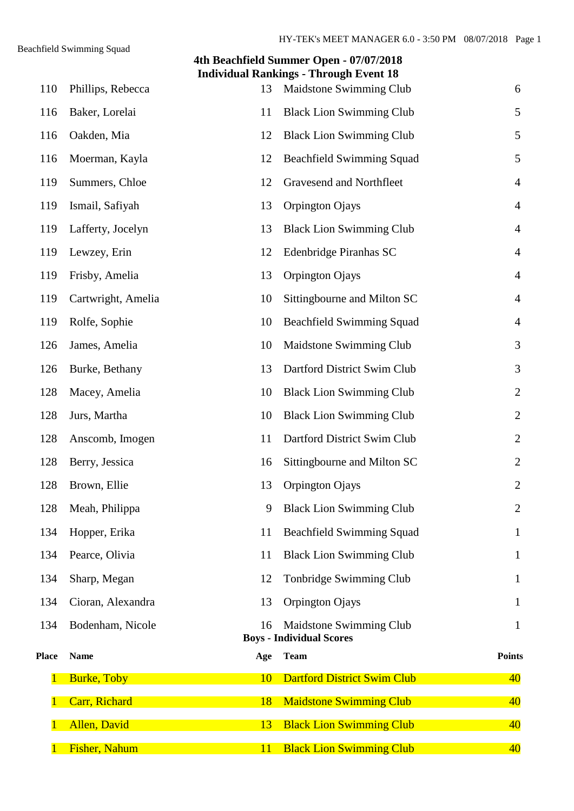|              |                      |     | 4th Beachfield Summer Open - 07/07/2018<br><b>Individual Rankings - Through Event 18</b> |                |
|--------------|----------------------|-----|------------------------------------------------------------------------------------------|----------------|
| 110          | Phillips, Rebecca    | 13  | Maidstone Swimming Club                                                                  | 6              |
| 116          | Baker, Lorelai       | 11  | <b>Black Lion Swimming Club</b>                                                          | 5              |
| 116          | Oakden, Mia          | 12  | <b>Black Lion Swimming Club</b>                                                          | 5              |
| 116          | Moerman, Kayla       | 12  | <b>Beachfield Swimming Squad</b>                                                         | 5              |
| 119          | Summers, Chloe       | 12  | Gravesend and Northfleet                                                                 | $\overline{4}$ |
| 119          | Ismail, Safiyah      | 13  | Orpington Ojays                                                                          | $\overline{4}$ |
| 119          | Lafferty, Jocelyn    | 13  | <b>Black Lion Swimming Club</b>                                                          | $\overline{4}$ |
| 119          | Lewzey, Erin         | 12  | Edenbridge Piranhas SC                                                                   | $\overline{4}$ |
| 119          | Frisby, Amelia       | 13  | Orpington Ojays                                                                          | $\overline{4}$ |
| 119          | Cartwright, Amelia   | 10  | Sittingbourne and Milton SC                                                              | $\overline{4}$ |
| 119          | Rolfe, Sophie        | 10  | <b>Beachfield Swimming Squad</b>                                                         | $\overline{4}$ |
| 126          | James, Amelia        | 10  | Maidstone Swimming Club                                                                  | 3              |
| 126          | Burke, Bethany       | 13  | Dartford District Swim Club                                                              | 3              |
| 128          | Macey, Amelia        | 10  | <b>Black Lion Swimming Club</b>                                                          | $\overline{2}$ |
| 128          | Jurs, Martha         | 10  | <b>Black Lion Swimming Club</b>                                                          | $\overline{2}$ |
| 128          | Anscomb, Imogen      | 11  | Dartford District Swim Club                                                              | $\overline{2}$ |
| 128          | Berry, Jessica       | 16  | Sittingbourne and Milton SC                                                              | $\overline{2}$ |
| 128          | Brown, Ellie         |     | 13 Orpington Ojays                                                                       | $\overline{2}$ |
| 128          | Meah, Philippa       | 9   | <b>Black Lion Swimming Club</b>                                                          | $\overline{2}$ |
| 134          | Hopper, Erika        | 11  | <b>Beachfield Swimming Squad</b>                                                         | $\mathbf{1}$   |
| 134          | Pearce, Olivia       | 11  | <b>Black Lion Swimming Club</b>                                                          | $\mathbf{1}$   |
| 134          | Sharp, Megan         | 12  | Tonbridge Swimming Club                                                                  | $\mathbf{1}$   |
| 134          | Cioran, Alexandra    | 13  | Orpington Ojays                                                                          | $\mathbf{1}$   |
| 134          | Bodenham, Nicole     | 16  | Maidstone Swimming Club                                                                  | $\mathbf{1}$   |
| <b>Place</b> | <b>Name</b>          | Age | <b>Boys - Individual Scores</b><br><b>Team</b>                                           | <b>Points</b>  |
|              | <b>Burke, Toby</b>   | 10  | <b>Dartford District Swim Club</b>                                                       | 40             |
|              | Carr, Richard        | 18  | <b>Maidstone Swimming Club</b>                                                           | 40             |
|              | <b>Allen</b> , David | 13  | <b>Black Lion Swimming Club</b>                                                          | 40             |
|              | Fisher, Nahum        | 11  | <b>Black Lion Swimming Club</b>                                                          | 40             |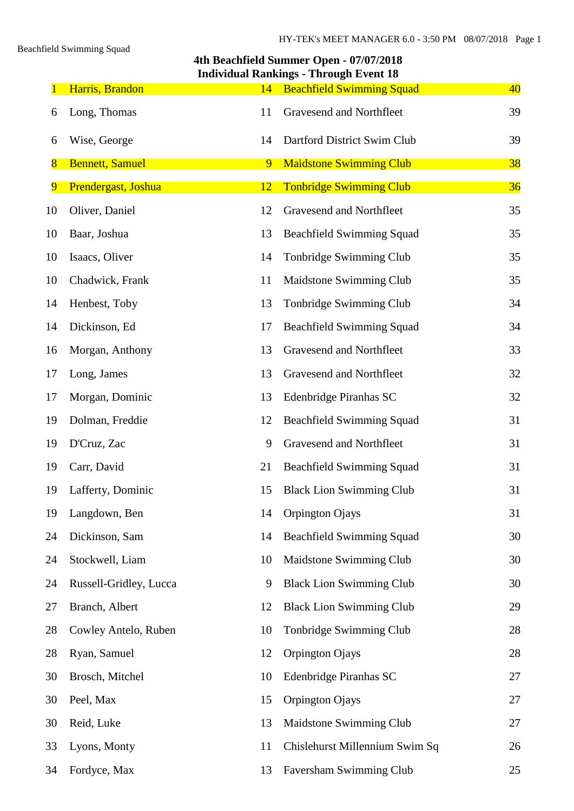Beachfield Swimming Squad

|                | 4th Beachfield Summer Open - 07/07/2018<br><b>Individual Rankings - Through Event 18</b> |    |                                  |    |  |  |  |
|----------------|------------------------------------------------------------------------------------------|----|----------------------------------|----|--|--|--|
|                | Harris, Brandon                                                                          | 14 | <b>Beachfield Swimming Squad</b> | 40 |  |  |  |
| 6              | Long, Thomas                                                                             | 11 | Gravesend and Northfleet         | 39 |  |  |  |
| 6              | Wise, George                                                                             | 14 | Dartford District Swim Club      | 39 |  |  |  |
| $\overline{8}$ | <b>Bennett, Samuel</b>                                                                   | 9  | <b>Maidstone Swimming Club</b>   | 38 |  |  |  |
| $\overline{9}$ | Prendergast, Joshua                                                                      | 12 | <b>Tonbridge Swimming Club</b>   | 36 |  |  |  |
| 10             | Oliver, Daniel                                                                           | 12 | Gravesend and Northfleet         | 35 |  |  |  |
| 10             | Baar, Joshua                                                                             | 13 | <b>Beachfield Swimming Squad</b> | 35 |  |  |  |
| 10             | Isaacs, Oliver                                                                           | 14 | Tonbridge Swimming Club          | 35 |  |  |  |
| 10             | Chadwick, Frank                                                                          | 11 | Maidstone Swimming Club          | 35 |  |  |  |
| 14             | Henbest, Toby                                                                            | 13 | Tonbridge Swimming Club          | 34 |  |  |  |
| 14             | Dickinson, Ed                                                                            | 17 | <b>Beachfield Swimming Squad</b> | 34 |  |  |  |
| 16             | Morgan, Anthony                                                                          | 13 | Gravesend and Northfleet         | 33 |  |  |  |
| 17             | Long, James                                                                              | 13 | Gravesend and Northfleet         | 32 |  |  |  |
| 17             | Morgan, Dominic                                                                          | 13 | Edenbridge Piranhas SC           | 32 |  |  |  |
| 19             | Dolman, Freddie                                                                          | 12 | <b>Beachfield Swimming Squad</b> | 31 |  |  |  |
| 19             | D'Cruz, Zac                                                                              | 9  | Gravesend and Northfleet         | 31 |  |  |  |
| 19             | Carr, David                                                                              | 21 | <b>Beachfield Swimming Squad</b> | 31 |  |  |  |
| 19             | Lafferty, Dominic                                                                        |    | 15 Black Lion Swimming Club      | 31 |  |  |  |
| 19             | Langdown, Ben                                                                            | 14 | Orpington Ojays                  | 31 |  |  |  |
| 24             | Dickinson, Sam                                                                           | 14 | <b>Beachfield Swimming Squad</b> | 30 |  |  |  |
| 24             | Stockwell, Liam                                                                          | 10 | Maidstone Swimming Club          | 30 |  |  |  |
| 24             | Russell-Gridley, Lucca                                                                   | 9  | <b>Black Lion Swimming Club</b>  | 30 |  |  |  |
| 27             | Branch, Albert                                                                           | 12 | <b>Black Lion Swimming Club</b>  | 29 |  |  |  |
| 28             | Cowley Antelo, Ruben                                                                     | 10 | Tonbridge Swimming Club          | 28 |  |  |  |
| 28             | Ryan, Samuel                                                                             | 12 | Orpington Ojays                  | 28 |  |  |  |
| 30             | Brosch, Mitchel                                                                          | 10 | Edenbridge Piranhas SC           | 27 |  |  |  |
| 30             | Peel, Max                                                                                | 15 | Orpington Ojays                  | 27 |  |  |  |
| 30             | Reid, Luke                                                                               | 13 | Maidstone Swimming Club          | 27 |  |  |  |
| 33             | Lyons, Monty                                                                             | 11 | Chislehurst Millennium Swim Sq   | 26 |  |  |  |
| 34             | Fordyce, Max                                                                             | 13 | Faversham Swimming Club          | 25 |  |  |  |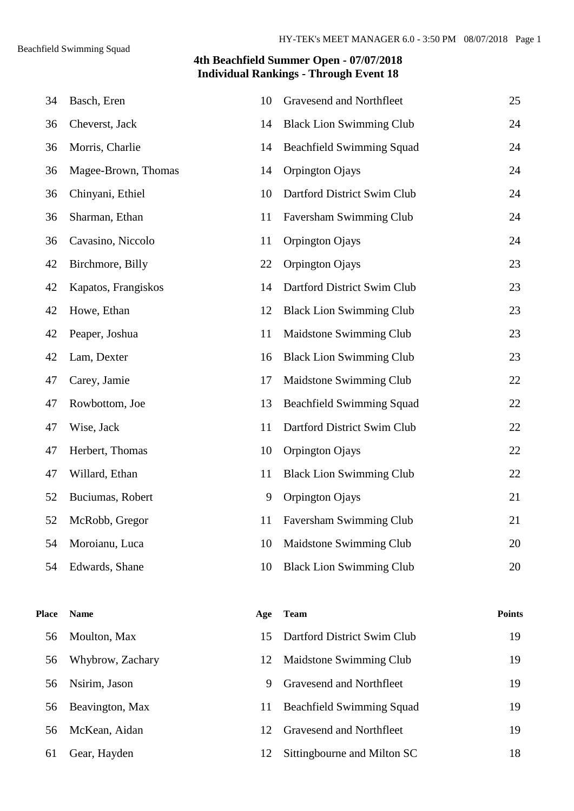| 34           | Basch, Eren         | 10  | Gravesend and Northfleet         | 25            |
|--------------|---------------------|-----|----------------------------------|---------------|
| 36           | Cheverst, Jack      | 14  | <b>Black Lion Swimming Club</b>  | 24            |
| 36           | Morris, Charlie     | 14  | <b>Beachfield Swimming Squad</b> | 24            |
| 36           | Magee-Brown, Thomas | 14  | Orpington Ojays                  | 24            |
| 36           | Chinyani, Ethiel    | 10  | Dartford District Swim Club      | 24            |
| 36           | Sharman, Ethan      | 11  | Faversham Swimming Club          | 24            |
| 36           | Cavasino, Niccolo   | 11  | Orpington Ojays                  | 24            |
| 42           | Birchmore, Billy    | 22  | Orpington Ojays                  | 23            |
| 42           | Kapatos, Frangiskos | 14  | Dartford District Swim Club      | 23            |
| 42           | Howe, Ethan         | 12  | <b>Black Lion Swimming Club</b>  | 23            |
| 42           | Peaper, Joshua      | 11  | Maidstone Swimming Club          | 23            |
| 42           | Lam, Dexter         | 16  | <b>Black Lion Swimming Club</b>  | 23            |
| 47           | Carey, Jamie        | 17  | Maidstone Swimming Club          | 22            |
| 47           | Rowbottom, Joe      | 13  | <b>Beachfield Swimming Squad</b> | 22            |
| 47           | Wise, Jack          | 11  | Dartford District Swim Club      | 22            |
| 47           | Herbert, Thomas     | 10  | Orpington Ojays                  | 22            |
| 47           | Willard, Ethan      | 11  | <b>Black Lion Swimming Club</b>  | 22            |
| 52           | Buciumas, Robert    | 9   | Orpington Ojays                  | 21            |
| 52           | McRobb, Gregor      | 11. | Faversham Swimming Club          | 21            |
| 54           | Moroianu, Luca      | 10  | Maidstone Swimming Club          | 20            |
| 54           | Edwards, Shane      | 10  | <b>Black Lion Swimming Club</b>  | 20            |
|              |                     |     |                                  |               |
| <b>Place</b> | <b>Name</b>         | Age | <b>Team</b>                      | <b>Points</b> |
| 56           | Moulton, Max        | 15  | Dartford District Swim Club      | 19            |
| 56           | Whybrow, Zachary    | 12  | Maidstone Swimming Club          | 19            |
| 56           | Nsirim, Jason       | 9   | Gravesend and Northfleet         | 19            |
| 56           | Beavington, Max     | 11  | <b>Beachfield Swimming Squad</b> | 19            |
| 56           | McKean, Aidan       | 12  | Gravesend and Northfleet         | 19            |
| 61           | Gear, Hayden        | 12  | Sittingbourne and Milton SC      | 18            |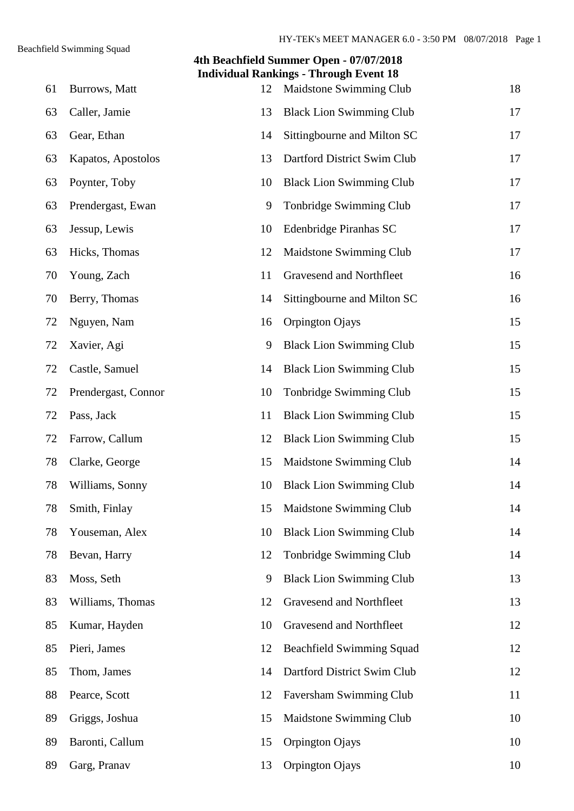|    | 4th Beachfield Summer Open - 07/07/2018<br><b>Individual Rankings - Through Event 18</b> |    |                                  |    |  |  |  |
|----|------------------------------------------------------------------------------------------|----|----------------------------------|----|--|--|--|
| 61 | Burrows, Matt                                                                            | 12 | Maidstone Swimming Club          | 18 |  |  |  |
| 63 | Caller, Jamie                                                                            | 13 | <b>Black Lion Swimming Club</b>  | 17 |  |  |  |
| 63 | Gear, Ethan                                                                              | 14 | Sittingbourne and Milton SC      | 17 |  |  |  |
| 63 | Kapatos, Apostolos                                                                       | 13 | Dartford District Swim Club      | 17 |  |  |  |
| 63 | Poynter, Toby                                                                            | 10 | <b>Black Lion Swimming Club</b>  | 17 |  |  |  |
| 63 | Prendergast, Ewan                                                                        | 9  | Tonbridge Swimming Club          | 17 |  |  |  |
| 63 | Jessup, Lewis                                                                            | 10 | Edenbridge Piranhas SC           | 17 |  |  |  |
| 63 | Hicks, Thomas                                                                            | 12 | Maidstone Swimming Club          | 17 |  |  |  |
| 70 | Young, Zach                                                                              | 11 | Gravesend and Northfleet         | 16 |  |  |  |
| 70 | Berry, Thomas                                                                            | 14 | Sittingbourne and Milton SC      | 16 |  |  |  |
| 72 | Nguyen, Nam                                                                              | 16 | Orpington Ojays                  | 15 |  |  |  |
| 72 | Xavier, Agi                                                                              | 9  | <b>Black Lion Swimming Club</b>  | 15 |  |  |  |
| 72 | Castle, Samuel                                                                           | 14 | <b>Black Lion Swimming Club</b>  | 15 |  |  |  |
| 72 | Prendergast, Connor                                                                      | 10 | Tonbridge Swimming Club          | 15 |  |  |  |
| 72 | Pass, Jack                                                                               | 11 | <b>Black Lion Swimming Club</b>  | 15 |  |  |  |
| 72 | Farrow, Callum                                                                           | 12 | <b>Black Lion Swimming Club</b>  | 15 |  |  |  |
| 78 | Clarke, George                                                                           | 15 | Maidstone Swimming Club          | 14 |  |  |  |
| 78 | Williams, Sonny                                                                          |    | 10 Black Lion Swimming Club      | 14 |  |  |  |
| 78 | Smith, Finlay                                                                            | 15 | Maidstone Swimming Club          | 14 |  |  |  |
| 78 | Youseman, Alex                                                                           | 10 | <b>Black Lion Swimming Club</b>  | 14 |  |  |  |
| 78 | Bevan, Harry                                                                             | 12 | Tonbridge Swimming Club          | 14 |  |  |  |
| 83 | Moss, Seth                                                                               | 9  | <b>Black Lion Swimming Club</b>  | 13 |  |  |  |
| 83 | Williams, Thomas                                                                         | 12 | Gravesend and Northfleet         | 13 |  |  |  |
| 85 | Kumar, Hayden                                                                            | 10 | Gravesend and Northfleet         | 12 |  |  |  |
| 85 | Pieri, James                                                                             | 12 | <b>Beachfield Swimming Squad</b> | 12 |  |  |  |
| 85 | Thom, James                                                                              | 14 | Dartford District Swim Club      | 12 |  |  |  |
| 88 | Pearce, Scott                                                                            | 12 | Faversham Swimming Club          | 11 |  |  |  |
| 89 | Griggs, Joshua                                                                           | 15 | Maidstone Swimming Club          | 10 |  |  |  |
| 89 | Baronti, Callum                                                                          | 15 | Orpington Ojays                  | 10 |  |  |  |
| 89 | Garg, Pranav                                                                             | 13 | Orpington Ojays                  | 10 |  |  |  |